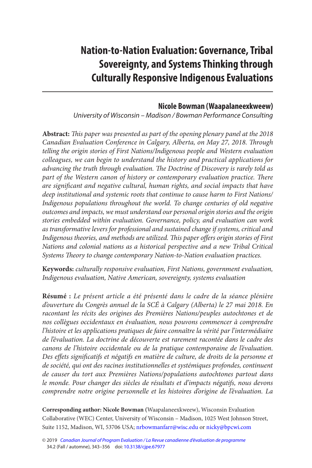# **Nation-to-Nation Evaluation: Governance, Tribal Sovereignty, and Systems Thinking through Culturally Responsive Indigenous Evaluations**

#### **Nicole Bowman (Waapalaneexkweew )**

University of Wisconsin – Madison / Bowman Performance Consulting

**Abstract:** *This paper was presented as part of the opening plenary panel at the 2018 Canadian Evaluation Conference in Calgary, Alberta, on May 27, 2018. Through telling the origin stories of First Nations/Indigenous people and Western evaluation colleagues, we can begin to understand the history and practical applications for advancing the truth through evaluation. The Doctrine of Discovery is rarely told as*  part of the Western canon of history or contemporary evaluation practice. There *are significant and negative cultural, human rights, and social impacts that have deep institutional and systemic roots that continue to cause harm to First Nations/ Indigenous populations throughout the world. To change centuries of old negative outcomes and impacts, we must understand our personal origin stories and the origin stories embedded within evaluation. Governance, policy, and evaluation can work as transformative levers for professional and sustained change if systems, critical and Indigenous theories, and methods are utilized. This paper offers origin stories of First Nations and colonial nations as a historical perspective and a new Tribal Critical Systems Theory to change contemporary Nation-to-Nation evaluation practices.* 

**Keywords:** *culturally responsive evaluation, First Nations, government evaluation, Indigenous evaluation, Native American, sovereignty, systems evaluation* 

**Résumé :** *Le présent article a été présenté dans le cadre de la séance plénière d'ouverture du Congrès annuel de la SCÉ à Calgary (Alberta) le 27 mai 2018. En racontant les récits des origines des Premières Nations/peuples autochtones et de nos collègues occidentaux en évaluation, nous pouvons commencer à comprendre l'histoire et les applications pratiques de faire connaître la vérité par l'intermédiaire de l'évaluation. La doctrine de découverte est rarement racontée dans le cadre des canons de l'histoire occidentale ou de la pratique contemporaine de l'évaluation.*  Des effets significatifs et négatifs en matière de culture, de droits de la personne et *de société, qui ont des racines institutionnelles et systémiques profondes, continuent de causer du tort aux Premières Nations/populations autochtones partout dans le monde. Pour changer des siècles de résultats et d'impacts négatifs, nous devons comprendre notre origine personnelle et les histoires d'origine de l'évaluation. La* 

**Corresponding author: Nicole Bowman (**Waapalaneexkweew), Wisconsin Evaluation Collaborative (WEC) Center, University of Wisconsin – Madison, 1025 West Johnson Street, Suite 1152, Madison, WI, 53706 USA; [nrbowmanfarr@wisc.edu](mailto:nrbowmanfarr@wisc.edu) or [nicky@bpcwi.com](mailto:nicky@bpcwi.com) 

<sup>© 2019</sup> [Canadian Journal of Program Evaluation / La Revue canadienne d'évaluation de programme](https://www.utpjournals.press/loi/cjpe)  34.2 (Fall / automne), 343–356 doi: [10.3138/cjpe.67977](https://doi.org/10.3138/cjpe.67977)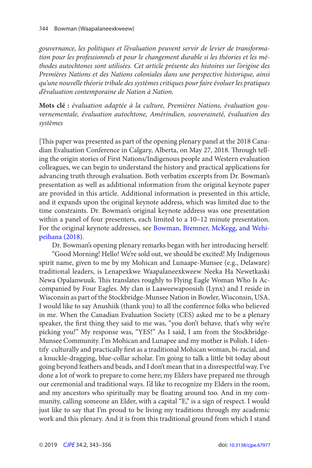<span id="page-1-0"></span>*gouvernance, les politiques et l'évaluation peuvent servir de levier de transformation pour les professionnels et pour le changement durable si les théories et les méthodes autochtones sont utilisées. Cet article présente des histoires sur l'origine des Premières Nations et des Nations coloniales dans une perspective historique, ainsi qu'une nouvelle théorie tribale des systèmes critiques pour faire évoluer les pratiques d'évaluation contemporaine de Nation à Nation.* 

**Mots clé :** *évaluation adaptée à la culture, Premières Nations, évaluation gouvernementale, évaluation autochtone, Amérindien, souveraineté, évaluation des systèmes*

 [This paper was presented as part of the opening plenary panel at the 2018 Canadian Evaluation Conference in Calgary, Alberta, on May 27, 2018. Through telling the origin stories of First Nations/Indigenous people and Western evaluation colleagues, we can begin to understand the history and practical applications for advancing truth through evaluation. Both verbatim excerpts from Dr. Bowman's presentation as well as additional information from the original keynote paper are provided in this article. Additional information is presented in this article, and it expands upon the original keynote address, which was limited due to the time constraints. Dr. Bowman's original keynote address was one presentation within a panel of four presenters, each limited to a 10–12 minute presentation. For the original keynote addresses, see [Bowman, Bremner, McKegg, and Wehi](#page-10-0)[peihana \(2018\)](#page-10-0).

Dr. Bowman's opening plenary remarks began with her introducing herself:

"Good Morning! Hello! We're sold out, we should be excited! My Indigenous spirit name, given to me by my Mohican and Lunaape-Munsee (e.g., Delaware) traditional leaders, is Lenapexkwe Waapalaneexkweew Neeka Ha Newetkaski Newa Opalanwuuk. This translates roughly to Flying Eagle Woman Who Is Accompanied by Four Eagles. My clan is Laaweewapoosish (Lynx) and I reside in Wisconsin as part of the Stockbridge-Munsee Nation in Bowler, Wisconsin, USA. I would like to say Anushiik (thank you) to all the conference folks who believed in me. When the Canadian Evaluation Society (CES) asked me to be a plenary speaker, the first thing they said to me was, "you don't behave, that's why we're picking you!" My response was, "YES!" As I said, I am from the Stockbridge-Munsee Community. I'm Mohican and Lunapee and my mother is Polish. I identify culturally and practically first as a traditional Mohican woman, bi-racial, and a knuckle-dragging, blue-collar scholar. I'm going to talk a little bit today about going beyond feathers and beads, and I don't mean that in a disrespectful way. I've done a lot of work to prepare to come here; my Elders have prepared me through our ceremonial and traditional ways. I'd like to recognize my Elders in the room, and my ancestors who spiritually may be floating around too. And in my community, calling someone an Elder, with a capital "E," is a sign of respect. I would just like to say that I'm proud to be living my traditions through my academic work and this plenary. And it is from this traditional ground from which I stand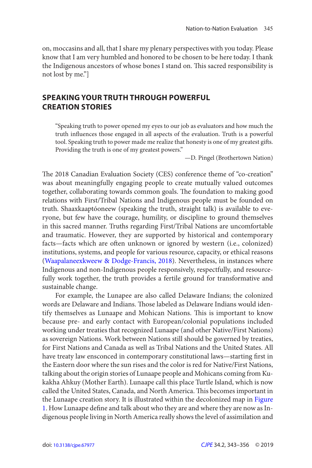<span id="page-2-0"></span>on, moccasins and all, that I share my plenary perspectives with you today. Please know that I am very humbled and honored to be chosen to be here today. I thank the Indigenous ancestors of whose bones I stand on. This sacred responsibility is not lost by me."]

## **SPEAKING YOUR TRUTH THROUGH POWERFUL CREATION STORIES**

"Speaking truth to power opened my eyes to our job as evaluators and how much the truth influences those engaged in all aspects of the evaluation. Truth is a powerful tool. Speaking truth to power made me realize that honesty is one of my greatest gifts. Providing the truth is one of my greatest powers."

—D. Pingel (Brothertown Nation)

 The 2018 Canadian Evaluation Society (CES) conference theme of "co-creation" was about meaningfully engaging people to create mutually valued outcomes together, collaborating towards common goals. The foundation to making good relations with First/Tribal Nations and Indigenous people must be founded on truth. Shaaxkaaptóoneew (speaking the truth, straight talk) is available to everyone, but few have the courage, humility, or discipline to ground themselves in this sacred manner. Truths regarding First/Tribal Nations are uncomfortable and traumatic. However, they are supported by historical and contemporary facts—facts which are often unknown or ignored by western (i.e., colonized) institutions, systems, and people for various resource, capacity, or ethical reasons ([Waapalaneexkweew & Dodge-Francis, 2018](#page-12-0)). Nevertheless, in instances where Indigenous and non-Indigenous people responsively, respectfully, and resourcefully work together, the truth provides a fertile ground for transformative and sustainable change.

For example, the Lunapee are also called Delaware Indians; the colonized words are Delaware and Indians. Those labeled as Delaware Indians would identify themselves as Lunaape and Mohican Nations. This is important to know because pre- and early contact with European/colonial populations included working under treaties that recognized Lunaape (and other Native/First Nations) as sovereign Nations. Work between Nations still should be governed by treaties, for First Nations and Canada as well as Tribal Nations and the United States. All have treaty law ensconced in contemporary constitutional laws—starting first in the Eastern door where the sun rises and the color is red for Native/First Nations, talking about the origin stories of Lunaape people and Mohicans coming from Kukakha Ahkuy (Mother Earth). Lunaape call this place Turtle Island, which is now called the United States, Canada, and North America. This becomes important in the Lunaape creation story. It is illustrated within the decolonized map in [Figure](#page-3-0)  [1](#page-3-0). How Lunaape define and talk about who they are and where they are now as Indigenous people living in North America really shows the level of assimilation and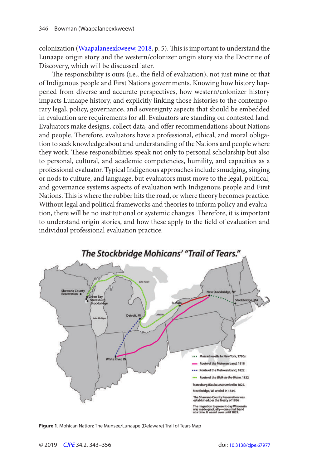<span id="page-3-0"></span>colonization ([Waapalaneexkweew, 2018,](#page-12-0) p. 5). This is important to understand the Lunaape origin story and the western/colonizer origin story via the Doctrine of Discovery, which will be discussed later.

 The responsibility is ours (i.e., the field of evaluation), not just mine or that of Indigenous people and First Nations governments. Knowing how history happened from diverse and accurate perspectives, how western/colonizer history impacts Lunaape history, and explicitly linking those histories to the contemporary legal, policy, governance, and sovereignty aspects that should be embedded in evaluation are requirements for all. Evaluators are standing on contested land. Evaluators make designs, collect data, and offer recommendations about Nations and people. Therefore, evaluators have a professional, ethical, and moral obligation to seek knowledge about and understanding of the Nations and people where they work. These responsibilities speak not only to personal scholarship but also to personal, cultural, and academic competencies, humility, and capacities as a professional evaluator. Typical Indigenous approaches include smudging, singing or nods to culture, and language, but evaluators must move to the legal, political, and governance systems aspects of evaluation with Indigenous people and First Nations. This is where the rubber hits the road, or where theory becomes practice. Without legal and political frameworks and theories to inform policy and evaluation, there will be no institutional or systemic changes. Therefore, it is important to understand origin stories, and how these apply to the field of evaluation and individual professional evaluation practice.



**Figure 1**. Mohican Nation: The Munsee/Lunaape (Delaware) Trail of Tears Map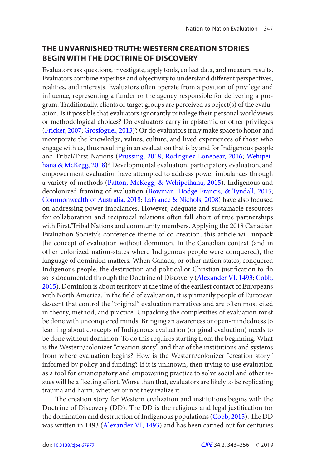## <span id="page-4-0"></span>**THE UNVARNISHED TRUTH: WESTERN CREATION STORIES BEGIN WITH THE DOCTRINE OF DISCOVERY**

Evaluators ask questions, investigate, apply tools, collect data, and measure results. Evaluators combine expertise and objectivity to understand different perspectives, realities, and interests. Evaluators often operate from a position of privilege and influence, representing a funder or the agency responsible for delivering a program. Traditionally, clients or target groups are perceived as object(s) of the evaluation. Is it possible that evaluators ignorantly privilege their personal worldviews or methodological choices? Do evaluators carry in epistemic or other privileges ([Fricker, 2007](#page-11-0); [Grosfoguel, 2013](#page-11-0))? Or do evaluators truly make space to honor and incorporate the knowledge, values, culture, and lived experiences of those who engage with us, thus resulting in an evaluation that is by and for Indigenous people and Tribal/First Nations ([Prussing, 2018](#page-12-0); [Rodriguez-Lonebear, 2016](#page-12-0); [Wehipei](#page-12-0)[hana & McKegg, 2018](#page-12-0))? Developmental evaluation, participatory evaluation, and empowerment evaluation have attempted to address power imbalances through a variety of methods ([Patton, McKegg, & Wehipeihana, 2015](#page-12-0)). Indigenous and decolonized framing of evaluation ([Bowman, Dodge-Francis, & Tyndall, 2015](#page-11-0); [Commonwealth of Australia, 2018](#page-11-0); [LaFrance & Nichols, 2008](#page-11-0)) have also focused on addressing power imbalances. However, adequate and sustainable resources for collaboration and reciprocal relations often fall short of true partnerships with First/Tribal Nations and community members. Applying the 2018 Canadian Evaluation Society's conference theme of co-creation, this article will unpack the concept of evaluation without dominion. In the Canadian context (and in other colonized nation-states where Indigenous people were conquered), the language of dominion matters. When Canada, or other nation states, conquered Indigenous people, the destruction and political or Christian justification to do so is documented through the Doctrine of Discovery ([Alexander VI, 1493](#page-10-0); [Cobb,](#page-11-0)  [2015](#page-11-0)). Dominion is about territory at the time of the earliest contact of Europeans with North America. In the field of evaluation, it is primarily people of European descent that control the "original" evaluation narratives and are often most cited in theory, method, and practice. Unpacking the complexities of evaluation must be done with unconquered minds. Bringing an awareness or open-mindedness to learning about concepts of Indigenous evaluation (original evaluation) needs to be done without dominion. To do this requires starting from the beginning. What is the Western/colonizer "creation story" and that of the institutions and systems from where evaluation begins? How is the Western/colonizer "creation story" informed by policy and funding? If it is unknown, then trying to use evaluation as a tool for emancipatory and empowering practice to solve social and other issues will be a fleeting effort. Worse than that, evaluators are likely to be replicating trauma and harm, whether or not they realize it.

 The creation story for Western civilization and institutions begins with the Doctrine of Discovery (DD). The DD is the religious and legal justification for the domination and destruction of Indigenous populations (Cobb, 2015). The DD was written in 1493 ([Alexander VI, 1493](#page-10-0)) and has been carried out for centuries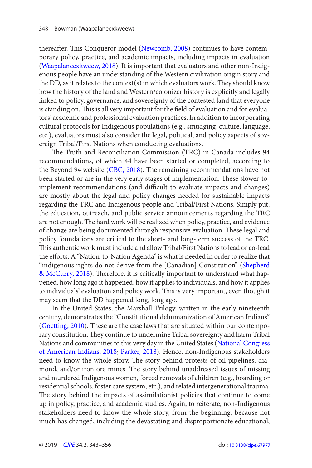<span id="page-5-0"></span>thereafter. This Conqueror model ([Newcomb, 2008](#page-12-0)) continues to have contemporary policy, practice, and academic impacts, including impacts in evaluation ([Waapalaneexkweew, 2018](#page-12-0)). It is important that evaluators and other non-Indigenous people have an understanding of the Western civilization origin story and the DD, as it relates to the context(s) in which evaluators work. They should know how the history of the land and Western/colonizer history is explicitly and legally linked to policy, governance, and sovereignty of the contested land that everyone is standing on. This is all very important for the field of evaluation and for evaluators' academic and professional evaluation practices. In addition to incorporating cultural protocols for Indigenous populations (e.g., smudging, culture, language, etc.), evaluators must also consider the legal, political, and policy aspects of sovereign Tribal/First Nations when conducting evaluations.

 The Truth and Reconciliation Commission (TRC) in Canada includes 94 recommendations, of which 44 have been started or completed, according to the Beyond 94 website ([CBC, 2018](#page-11-0)). The remaining recommendations have not been started or are in the very early stages of implementation. These slower-toimplement recommendations (and difficult-to-evaluate impacts and changes) are mostly about the legal and policy changes needed for sustainable impacts regarding the TRC and Indigenous people and Tribal/First Nations. Simply put, the education, outreach, and public service announcements regarding the TRC are not enough. The hard work will be realized when policy, practice, and evidence of change are being documented through responsive evaluation. These legal and policy foundations are critical to the short- and long-term success of the TRC. This authentic work must include and allow Tribal/First Nations to lead or co-lead the efforts. A "Nation-to-Nation Agenda" is what is needed in order to realize that "indigenous rights do not derive from the [Canadian] Constitution" ([Shepherd](#page-12-0) [& McCurry, 2018](#page-12-0)). Therefore, it is critically important to understand what happened, how long ago it happened, how it applies to individuals, and how it applies to individuals' evaluation and policy work. This is very important, even though it may seem that the DD happened long, long ago.

In the United States, the Marshall Trilogy, written in the early nineteenth century, demonstrates the "Constitutional dehumanization of American Indians" ([Goetting, 2010](#page-11-0)). These are the case laws that are situated within our contemporary constitution. They continue to undermine Tribal sovereignty and harm Tribal Nations and communities to this very day in the United States ([National Congress](#page-12-0)  [of American Indians, 2018](#page-12-0); [Parker, 2018\)](#page-12-0). Hence, non-Indigenous stakeholders need to know the whole story. The story behind protests of oil pipelines, diamond, and/or iron ore mines. The story behind unaddressed issues of missing and murdered Indigenous women, forced removals of children (e.g., boarding or residential schools, foster care system, etc.), and related intergenerational trauma. The story behind the impacts of assimilationist policies that continue to come up in policy, practice, and academic studies. Again, to reiterate, non-Indigenous stakeholders need to know the whole story, from the beginning, because not much has changed, including the devastating and disproportionate educational,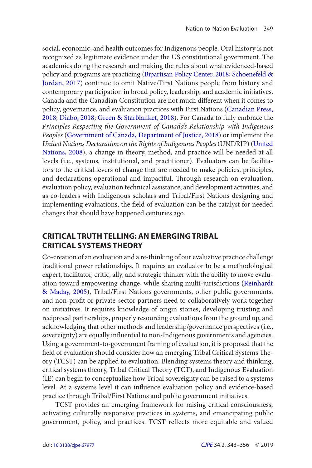<span id="page-6-0"></span>social, economic, and health outcomes for Indigenous people. Oral history is not recognized as legitimate evidence under the US constitutional government. The academics doing the research and making the rules about what evidenced-based policy and programs are practicing ([Bipartisan Policy Center, 2018](#page-10-0); [Schoenefeld &](#page-12-0) [Jordan, 2017](#page-12-0)) continue to omit Native/First Nations people from history and contemporary participation in broad policy, leadership, and academic initiatives. Canada and the Canadian Constitution are not much different when it comes to policy, governance, and evaluation practices with First Nations ([Canadian Press,](#page-11-0)  [2018](#page-11-0); [Diabo, 2018](#page-11-0); [Green & Starblanket, 2018](#page-11-0)). For Canada to fully embrace the *Principles Respecting the Government of Canada's Relationship with Indigenous Peoples* ([Government of Canada, Department of Justice, 2018](#page-11-0)) or implement the *United Nations Declaration on the Rights of Indigenous Peoples* (UNDRIP) ( [United](#page-12-0) [Nations, 2008](#page-12-0)), a change in theory, method, and practice will be needed at all levels (i.e., systems, institutional, and practitioner). Evaluators can be facilitators to the critical levers of change that are needed to make policies, principles, and declarations operational and impactful. Through research on evaluation, evaluation policy, evaluation technical assistance, and development activities, and as co-leaders with Indigenous scholars and Tribal/First Nations designing and implementing evaluations, the field of evaluation can be the catalyst for needed changes that should have happened centuries ago.

# **CRITICAL TRUTH TELLING: AN EMERGING TRIBAL CRITICAL SYSTEMS THEORY**

Co-creation of an evaluation and a re-thinking of our evaluative practice challenge traditional power relationships. It requires an evaluator to be a methodological expert, facilitator, critic, ally, and strategic thinker with the ability to move evaluation toward empowering change, while sharing multi-jurisdictions ([Reinhardt](#page-12-0)  [& Maday, 2005](#page-12-0)), Tribal/First Nations governments, other public governments, and non-profit or private-sector partners need to collaboratively work together on initiatives. It requires knowledge of origin stories, developing trusting and reciprocal partnerships, properly resourcing evaluations from the ground up, and acknowledging that other methods and leadership/governance perspectives (i.e., sovereignty) are equally influential to non-Indigenous governments and agencies. Using a government-to-government framing of evaluation, it is proposed that the field of evaluation should consider how an emerging Tribal Critical Systems Theory (TCST) can be applied to evaluation. Blending systems theory and thinking, critical systems theory, Tribal Critical Theory (TCT), and Indigenous Evaluation (IE) can begin to conceptualize how Tribal sovereignty can be raised to a systems level. At a systems level it can influence evaluation policy and evidence-based practice through Tribal/First Nations and public government initiatives.

TCST provides an emerging framework for raising critical consciousness, activating culturally responsive practices in systems, and emancipating public government, policy, and practices. TCST reflects more equitable and valued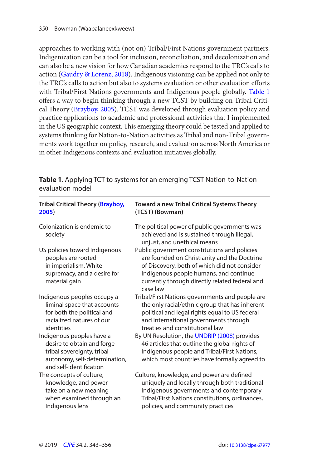<span id="page-7-0"></span>approaches to working with (not on) Tribal/First Nations government partners. Indigenization can be a tool for inclusion, reconciliation, and decolonization and can also be a new vision for how Canadian academics respond to the TRC's calls to action (Gaudry & Lorenz, 2018). Indigenous visioning can be applied not only to the TRC's calls to action but also to systems evaluation or other evaluation efforts with Tribal/First Nations governments and Indigenous people globally. Table 1 offers a way to begin thinking through a new TCST by building on Tribal Critical Theory ([Brayboy, 2005](#page-11-0)). TCST was developed through evaluation policy and practice applications to academic and professional activities that I implemented in the US geographic context. This emerging theory could be tested and applied to systems thinking for Nation-to-Nation activities as Tribal and non-Tribal governments work together on policy, research, and evaluation across North America or in other Indigenous contexts and evaluation initiatives globally.

| <b>Tribal Critical Theory (Brayboy,</b>                                                                                                           | <b>Toward a new Tribal Critical Systems Theory</b>                                                                                                                                                                                                   |
|---------------------------------------------------------------------------------------------------------------------------------------------------|------------------------------------------------------------------------------------------------------------------------------------------------------------------------------------------------------------------------------------------------------|
| 2005)                                                                                                                                             | (TCST) (Bowman)                                                                                                                                                                                                                                      |
| Colonization is endemic to<br>society                                                                                                             | The political power of public governments was<br>achieved and is sustained through illegal,<br>unjust, and unethical means                                                                                                                           |
| US policies toward Indigenous<br>peoples are rooted<br>in imperialism, White<br>supremacy, and a desire for<br>material gain                      | Public government constitutions and policies<br>are founded on Christianity and the Doctrine<br>of Discovery, both of which did not consider<br>Indigenous people humans, and continue<br>currently through directly related federal and<br>case law |
| Indigenous peoples occupy a                                                                                                                       | Tribal/First Nations governments and people are                                                                                                                                                                                                      |
| liminal space that accounts                                                                                                                       | the only racial/ethnic group that has inherent                                                                                                                                                                                                       |
| for both the political and                                                                                                                        | political and legal rights equal to US federal                                                                                                                                                                                                       |
| racialized natures of our                                                                                                                         | and international governments through                                                                                                                                                                                                                |
| identities                                                                                                                                        | treaties and constitutional law                                                                                                                                                                                                                      |
| Indigenous peoples have a<br>desire to obtain and forge<br>tribal sovereignty, tribal<br>autonomy, self-determination,<br>and self-identification | By UN Resolution, the UNDRIP (2008) provides<br>46 articles that outline the global rights of<br>Indigenous people and Tribal/First Nations,<br>which most countries have formally agreed to                                                         |
| The concepts of culture,                                                                                                                          | Culture, knowledge, and power are defined                                                                                                                                                                                                            |
| knowledge, and power                                                                                                                              | uniquely and locally through both traditional                                                                                                                                                                                                        |
| take on a new meaning                                                                                                                             | Indigenous governments and contemporary                                                                                                                                                                                                              |
| when examined through an                                                                                                                          | Tribal/First Nations constitutions, ordinances,                                                                                                                                                                                                      |
| Indigenous lens                                                                                                                                   | policies, and community practices                                                                                                                                                                                                                    |

**Table 1**. Applying TCT to systems for an emerging TCST Nation-to-Nation evaluation model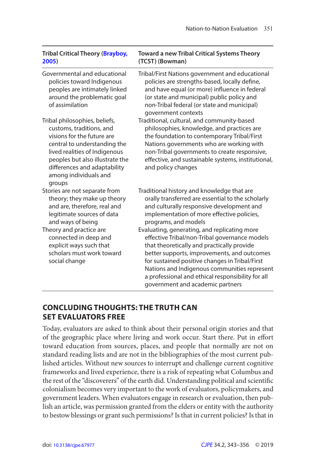| <b>Tribal Critical Theory (Brayboy,</b><br>2005)                                                                                                                                                                                                               | <b>Toward a new Tribal Critical Systems Theory</b><br>(TCST) (Bowman)                                                                                                                                                                                                                                                                                                                 |
|----------------------------------------------------------------------------------------------------------------------------------------------------------------------------------------------------------------------------------------------------------------|---------------------------------------------------------------------------------------------------------------------------------------------------------------------------------------------------------------------------------------------------------------------------------------------------------------------------------------------------------------------------------------|
| Governmental and educational<br>policies toward Indigenous<br>peoples are intimately linked<br>around the problematic goal<br>of assimilation                                                                                                                  | Tribal/First Nations government and educational<br>policies are strengths-based, locally define,<br>and have equal (or more) influence in federal<br>(or state and municipal) public policy and<br>non-Tribal federal (or state and municipal)<br>government contexts                                                                                                                 |
| Tribal philosophies, beliefs,<br>customs, traditions, and<br>visions for the future are<br>central to understanding the<br>lived realities of Indigenous<br>peoples but also illustrate the<br>differences and adaptability<br>among individuals and<br>groups | Traditional, cultural, and community-based<br>philosophies, knowledge, and practices are<br>the foundation to contemporary Tribal/First<br>Nations governments who are working with<br>non-Tribal governments to create responsive,<br>effective, and sustainable systems, institutional,<br>and policy changes                                                                       |
| Stories are not separate from<br>theory; they make up theory<br>and are, therefore, real and<br>legitimate sources of data<br>and ways of being                                                                                                                | Traditional history and knowledge that are<br>orally transferred are essential to the scholarly<br>and culturally responsive development and<br>implementation of more effective policies,<br>programs, and models                                                                                                                                                                    |
| Theory and practice are<br>connected in deep and<br>explicit ways such that<br>scholars must work toward<br>social change                                                                                                                                      | Evaluating, generating, and replicating more<br>effective Tribal/non-Tribal governance models<br>that theoretically and practically provide<br>better supports, improvements, and outcomes<br>for sustained positive changes in Tribal/First<br>Nations and Indigenous communities represent<br>a professional and ethical responsibility for all<br>government and academic partners |

# **CONCLUDING THOUGHTS: THE TRUTH CAN SET EVALUATORS FREE**

Today, evaluators are asked to think about their personal origin stories and that of the geographic place where living and work occur. Start there. Put in effort toward education from sources, places, and people that normally are not on standard reading lists and are not in the bibliographies of the most current published articles. Without new sources to interrupt and challenge current cognitive frameworks and lived experience, there is a risk of repeating what Columbus and the rest of the "discoverers" of the earth did. Understanding political and scientific colonialism becomes very important to the work of evaluators, policymakers, and government leaders. When evaluators engage in research or evaluation, then publish an article, was permission granted from the elders or entity with the authority to bestow blessings or grant such permissions? Is that in current policies? Is that in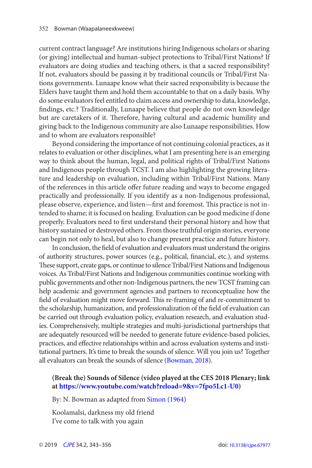<span id="page-9-0"></span>current contract language? Are institutions hiring Indigenous scholars or sharing (or giving) intellectual and human-subject protections to Tribal/First Nations? If evaluators are doing studies and teaching others, is that a sacred responsibility? If not, evaluators should be passing it by traditional councils or Tribal/First Nations governments. Lunaape know what their sacred responsibility is because the Elders have taught them and hold them accountable to that on a daily basis. Why do some evaluators feel entitled to claim access and ownership to data, knowledge, findings, etc.? Traditionally, Lunaape believe that people do not own knowledge but are caretakers of it. Therefore, having cultural and academic humility and giving back to the Indigenous community are also Lunaape responsibilities. How and to whom are evaluators responsible?

Beyond considering the importance of not continuing colonial practices, as it relates to evaluation or other disciplines, what I am presenting here is an emerging way to think about the human, legal, and political rights of Tribal/First Nations and Indigenous people through TCST. I am also highlighting the growing literature and leadership on evaluation, including within Tribal/First Nations. Many of the references in this article offer future reading and ways to become engaged practically and professionally. If you identify as a non-Indigenous professional, please observe, experience, and listen—first and foremost. This practice is not intended to shame; it is focused on healing. Evaluation can be good medicine if done properly. Evaluators need to first understand their personal history and how that history sustained or destroyed others. From those truthful origin stories, everyone can begin not only to heal, but also to change present practice and future history.

In conclusion, the field of evaluation and evaluators must understand the origins of authority structures, power sources (e.g., political, financial, etc.), and systems. These support, create gaps, or continue to silence Tribal/First Nations and Indigenous voices. As Tribal/First Nations and Indigenous communities continue working with public governments and other non-Indigenous partners, the new TCST framing can help academic and government agencies and partners to reconceptualize how the field of evaluation might move forward. This re-framing of and re-commitment to the scholarship, humanization, and professionalization of the field of evaluation can be carried out through evaluation policy, evaluation research, and evaluation studies. Comprehensively, multiple strategies and multi-jurisdictional partnerships that are adequately resourced will be needed to generate future evidence-based policies, practices, and effective relationships within and across evaluation systems and institutional partners. It's time to break the sounds of silence. Will you join us? Together all evaluators can break the sounds of silence ([Bowman, 2018](#page-10-0)).

#### **(Break the) Sounds of Silence (video played at the CES 2018 Plenary; link at [https://www.youtube.com/watch?reload=9&v=7fpo5Lc1-U0 \)](https://www.youtube.com/watch?reload=9&v=7fpo5Lc1-U0)**

By: N. Bowman as adapted from Simon (1964)

Koolamalsi, darkness my old friend I've come to talk with you again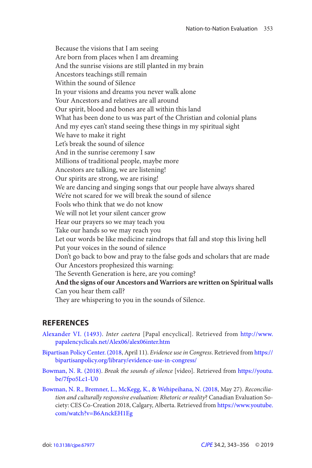<span id="page-10-0"></span>Because the visions that I am seeing Are born from places when I am dreaming And the sunrise visions are still planted in my brain Ancestors teachings still remain Within the sound of Silence In your visions and dreams you never walk alone Your Ancestors and relatives are all around Our spirit, blood and bones are all within this land What has been done to us was part of the Christian and colonial plans And my eyes can't stand seeing these things in my spiritual sight We have to make it right Let's break the sound of silence And in the sunrise ceremony I saw Millions of traditional people, maybe more Ancestors are talking, we are listening! Our spirits are strong, we are rising! We are dancing and singing songs that our people have always shared We're not scared for we will break the sound of silence Fools who think that we do not know We will not let your silent cancer grow Hear our prayers so we may teach you Take our hands so we may reach you Let our words be like medicine raindrops that fall and stop this living hell Put your voices in the sound of silence Don't go back to bow and pray to the false gods and scholars that are made Our Ancestors prophesized this warning: The Seventh Generation is here, are you coming? **And the signs of our Ancestors and Warriors are written on Spiritual walls**  Can you hear them call? They are whispering to you in the sounds of Silence.

## **REFERENCES**

- [Alexander VI. \(1493\)](#page-4-0). *Inter caetera* [Papal encyclical]. Retrieved from [http://www.](http://www.papalencyclicals.net/Alex06/alex06inter.htm)  [papalencyclicals.net/Alex06/alex06inter.htm](http://www.papalencyclicals.net/Alex06/alex06inter.htm)
- [Bipartisan Policy Center. \(2018](#page-6-0), April 11). *Evidence use in Congress*. Retrieved from [https://](https://bipartisanpolicy.org/library/evidence-use-in-congress/)  [bipartisanpolicy.org/library/evidence-use-in-congress/](https://bipartisanpolicy.org/library/evidence-use-in-congress/)
- [Bowman, N. R. \(2018\)](#page-9-0). *Break the sounds of silence* [video]. Retrieved from [https://youtu.](https://youtu.be/7fpo5Lc1-U0)  [be/7fpo5Lc1-U0](https://youtu.be/7fpo5Lc1-U0)
- [Bowman, N. R., Bremner, L., McKegg, K., & Wehipeihana, N. \(2018](#page-1-0), May 27). *Reconciliation and culturally responsive evaluation: Rhetoric or reality*? Canadian Evaluation Society: CES Co-Creation 2018, Calgary, Alberta. Retrieved from [https://www.youtube.](https://www.youtube.com/watch?v=B6AnckEH1Eg)  [com/watch?v=B6AnckEH1Eg](https://www.youtube.com/watch?v=B6AnckEH1Eg)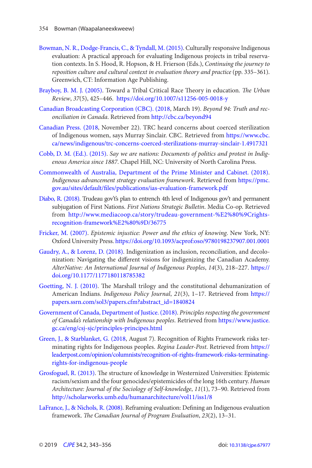- <span id="page-11-0"></span>[Bowman, N. R., Dodge-Francis, C., & Tyndall, M. \(2015\)](#page-4-0). Culturally responsive Indigenous evaluation: A practical approach for evaluating Indigenous projects in tribal reservation contexts. In S. Hood, R. Hopson, & H. Frierson (Eds.), *Continuing the journey to reposition culture and cultural context in evaluation theory and practice* (pp. 335–361). Greenwich, CT: Information Age Publishing.
- [Brayboy, B. M. J. \(2005\)](#page-7-0). Toward a Tribal Critical Race Theory in education. *The Urban Review*, *37*(5), 425–446. <https://doi.org/10.1007/s11256-005-0018-y>
- [Canadian Broadcasting Corporation \(CBC\). \(2018](#page-5-0), March 19). *Beyond 94: Truth and reconciliation in Canada*. Retrieved from <http://cbc.ca/beyond94>
- [Canadian Press. \(2018](#page-6-0), November 22). TRC heard concerns about coerced sterilization of Indigenous women, says Murray Sinclair. CBC. Retrieved from [https://www.cbc.](https://www.cbc.ca/news/indigenous/trc-concerns-coerced-sterilizations-murray-sinclair-1.4917321)  [ca/news/indigenous/trc-concerns-coerced-sterilizations-murray-sinclair-1.4917321](https://www.cbc.ca/news/indigenous/trc-concerns-coerced-sterilizations-murray-sinclair-1.4917321)
- [Cobb, D. M. \(Ed.\). \(2015\)](#page-4-0). *Say we are nations: Documents of politics and protest in Indigenous America since 1887*. Chapel Hill, NC: University of North Carolina Press.
- [Commonwealth of Australia, Department of the Prime Minister and Cabinet. \(2018\)](#page-4-0). *Indigenous advancement strategy evaluation framework*. Retrieved from [https://pmc.](https://pmc.gov.au/sites/default/files/publications/ias-evaluation-framework.pdf)  gov.au/sites/default/files/publications/ias-evaluation-framework.pdf
- [Diabo, R. \(2018\)](#page-6-0). Trudeau gov't's plan to entrench 4th level of Indigenous gov't and permanent subjugation of First Nations. *First Nations Strategic Bulletin*. Media Co-op. Retrieved from [http://www.mediacoop.ca/story/trudeau-government-%E2%80%9Crights](http://www.mediacoop.ca/story/trudeau-government-%E2%80%9Crightsrecognition-framework%E2%80%9D/36775)[recognition-framework%E2%80%9D/36775](http://www.mediacoop.ca/story/trudeau-government-%E2%80%9Crightsrecognition-framework%E2%80%9D/36775)
- [Fricker, M. \(2007\)](#page-4-0). *Epistemic injustice: Power and the ethics of knowing*. New York, NY: Oxford University Press. <https://doi.org/10.1093/acprof:oso/9780198237907.001.0001>
- [Gaudry, A., & Lorenz, D. \(2018\)](#page-7-0). Indigenization as inclusion, reconciliation, and decolonization: Navigating the different visions for indigenizing the Canadian Academy. *AlterNative: An International Journal of Indigenous Peoples*, *14*(3), 218–227. [https://](https://doi.org/10.1177/1177180118785382)  [doi.org/10.1177/1177180118785382](https://doi.org/10.1177/1177180118785382)
- [Goetting, N. J. \(2010\).](#page-5-0) The Marshall trilogy and the constitutional dehumanization of American Indians. *Indigenous Policy Journal*, *21*(3), 1–17. Retrieved from [https://](https://papers.ssrn.com/sol3/papers.cfm?abstract_id=1840824)  [papers.ssrn.com/sol3/papers.cfm?abstract\\_id=1840824](https://papers.ssrn.com/sol3/papers.cfm?abstract_id=1840824)
- [Government of Canada, Department of Justice. \(2018\)](#page-6-0). *Principles respecting the government of Canada's relationship with Indigenous peoples*. Retrieved from [https://www.justice.](https://www.justice.gc.ca/eng/csj-sjc/principles-principes.html)  [gc.ca/eng/csj-sjc/principles-principes.html](https://www.justice.gc.ca/eng/csj-sjc/principles-principes.html)
- [Green, J., & Starblanket, G. \(2018](#page-6-0), August 7). Recognition of Rights Framework risks terminating rights for Indigenous peoples. *Regina Leader-Post*. Retrieved from [https://](https://leaderpost.com/opinion/columnists/recognition-of-rights-framework-risks-terminatingrights-for-indigenous-people)  [leaderpost.com/opinion/columnists/recognition-of-rights-framework-risks-terminating](https://leaderpost.com/opinion/columnists/recognition-of-rights-framework-risks-terminatingrights-for-indigenous-people)[rights-for-indigenous-people](https://leaderpost.com/opinion/columnists/recognition-of-rights-framework-risks-terminatingrights-for-indigenous-people)
- [Grosfoguel, R. \(2013\)](#page-4-0). The structure of knowledge in Westernized Universities: Epistemic racism/sexism and the four genocides/epistemicides of the long 16th century. *Human Architecture: Journal of the Sociology of Self-knowledge*, *11*(1), 73–90. Retrieved from <http://scholarworks.umb.edu/humanarchitecture/vol11/iss1/8>
- [LaFrance, J., & Nichols, R. \(2008\)](#page-4-0). Reframing evaluation: Defining an Indigenous evaluation framework. *The Canadian Journal of Program Evaluation*, *23* (2), 13–31.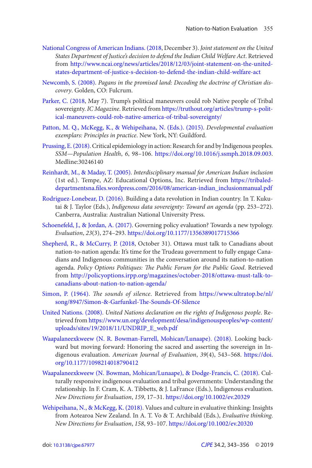- <span id="page-12-0"></span>[National Congress of American Indians. \(2018](#page-5-0), December 3). *Joint statement on the United States Department of Justice's decision to defend the Indian Child Welfare Act* . Retrieved from [http://www.ncai.org/news/articles/2018/12/03/joint-statement-on-the-united](http://www.ncai.org/news/articles/2018/12/03/joint-statement-on-the-unitedstates-department-of-justice-s-decision-to-defend-the-indian-child-welfare-act)[states-department-of-justice-s-decision-to-defend-the-indian-child-welfare-act](http://www.ncai.org/news/articles/2018/12/03/joint-statement-on-the-unitedstates-department-of-justice-s-decision-to-defend-the-indian-child-welfare-act)
- [Newcomb, S. \(2008\)](#page-5-0). *Pagans in the promised land: Decoding the doctrine of Christian discovery*. Golden, CO: Fulcrum.
- [Parker, C. \(2018,](#page-5-0) May 7). Trump's political maneuvers could rob Native people of Tribal sovereignty. *IC Magazine*. Retrieved from [https://truthout.org/articles/trump-s-polit](https://truthout.org/articles/trump-s-political-maneuvers-could-rob-native-america-of-tribal-sovereignty/)[ical-maneuvers-could-rob-native-america-of-tribal-sovereignty/](https://truthout.org/articles/trump-s-political-maneuvers-could-rob-native-america-of-tribal-sovereignty/)
- [Patton, M. Q., McKegg, K., & Wehipeihana, N. \(Eds.\). \(2015\).](#page-4-0) *Developmental evaluation exemplars: Principles in practice*. New York, NY: Guildford.
- [Prussing, E. \(2018\).](#page-4-0) Critical epidemiology in action: Research for and by Indigenous peoples. *SSM—Population Health*, *6* , 98–106. <https://doi.org/10.1016/j.ssmph.2018.09.003>. Medline:30246140
- [Reinhardt, M., & Maday, T. \(2005\)](#page-6-0). *Interdisciplinary manual for American Indian inclusion*  (1st ed.). Tempe, AZ: Educational Options, Inc. Retrieved from [https://tribaled](https://tribaleddepartmentsna.files.wordpress.com/2016/08/american-indian_inclusionmanual.pdf)departmentsna.files.wordpress.com/2016/08/american-indian\_inclusionmanual.pdf
- [Rodriguez-Lonebear, D. \(2016\).](#page-4-0) Building a data revolution in Indian country. In T. Kukutai & J. Taylor (Eds.), *Indigenous data sovereignty: Toward an agenda* (pp. 253–272). Canberra, Australia: Australian National University Press.
- [Schoenefeld, J., & Jordan, A. \(2017\)](#page-6-0). Governing policy evaluation? Towards a new typology. *Evaluation*, *23*(3), 274–293. <https://doi.org/10.1177/1356389017715366>
- [Shepherd, R., & McCurry, P. \(2018](#page-5-0), October 31). Ottawa must talk to Canadians about nation-to-nation agenda: It's time for the Trudeau government to fully engage Canadians and Indigenous communities in the conversation around its nation-to-nation agenda. Policy Options Politiques: The Public Forum for the Public Good. Retrieved from [http://policyoptions.irpp.org/magazines/october-2018/ottawa-must-talk-to](http://policyoptions.irpp.org/magazines/october-2018/ottawa-must-talk-tocanadians-about-nation-to-nation-agenda/)[canadians-about-nation-to-nation-agenda/](http://policyoptions.irpp.org/magazines/october-2018/ottawa-must-talk-tocanadians-about-nation-to-nation-agenda/)
- [Simon, P. \(1964\)](#page-9-0). *The sounds of silence*. Retrieved from [https://www.ultratop.be/nl/](https://www.ultratop.be/nl/song/8947/Simon-&-Garfunkel-The-Sounds-Of-Silence)  song/8947/Simon-&-Garfunkel-The-Sounds-Of-Silence
- [United Nations. \(2008\)](#page-6-0). *United Nations declaration on the rights of Indigenous people* . Retrieved from [https://www.un.org/development/desa/indigenouspeoples/wp-content/](https://www.un.org/development/desa/indigenouspeoples/wp-content/uploads/sites/19/2018/11/UNDRIP_E_web.pdf)  [uploads/sites/19/2018/11/UNDRIP\\_E\\_web.pdf](https://www.un.org/development/desa/indigenouspeoples/wp-content/uploads/sites/19/2018/11/UNDRIP_E_web.pdf)
- [Waapalaneexkweew \(N. R. Bowman-Farrell, Mohican/Lunaape\). \(2018\)](#page-3-0). Looking backward but moving forward: Honoring the sacred and asserting the sovereign in Indigenous evaluation. *American Journal of Evaluation*, *39*(4), 543–568. [https://doi.](https://doi.org/10.1177/1098214018790412)  [org/10.1177/1098214018790412](https://doi.org/10.1177/1098214018790412)
- [Waapalaneexkweew \(N. Bowman, Mohican/Lunaape\), & Dodge-Francis, C. \(2018\)](#page-2-0). Culturally responsive indigenous evaluation and tribal governments: Understanding the relationship. In F. Cram, K. A. Tibbetts, & J. LaFrance (Eds.), Indigenous evaluation. *New Directions for Evaluation*, *159*, 17–31.<https://doi.org/10.1002/ev.20329>
- [Wehipeihana, N., & McKegg, K. \(2018\).](#page-4-0) Values and culture in evaluative thinking: Insights from Aotearoa New Zealand. In A. T. Vo & T. Archibald (Eds.), *Evaluative thinking*. *New Directions for Evaluation*, *158* , 93–107. <https://doi.org/10.1002/ev.20320>